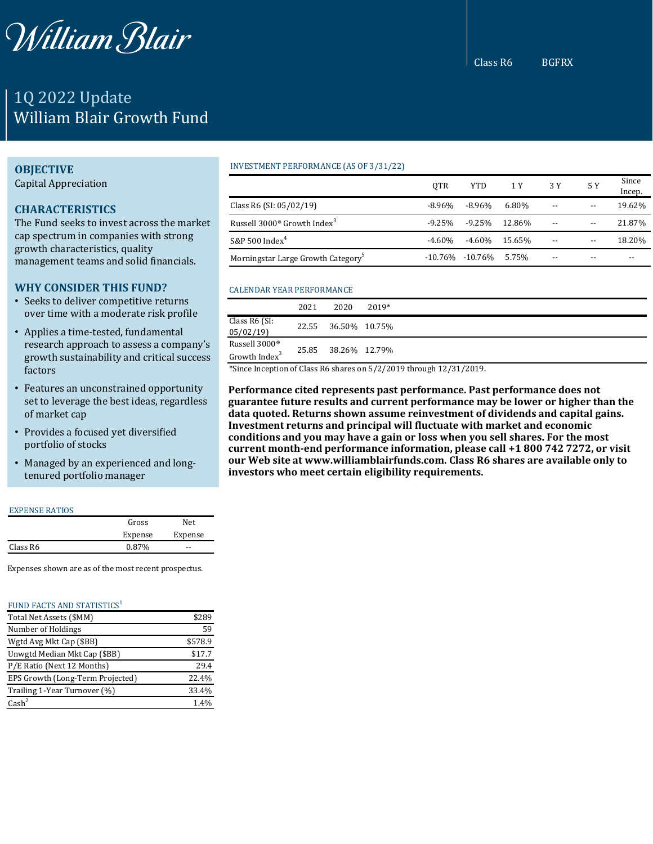

# 1Q 2022 Update William Blair Growth Fund

## **OBJECTIVE**

Capital Appreciation

# **CHARACTERISTICS**

The Fund seeks to invest across the market cap spectrum in companies with strong growth characteristics, quality management teams and solid financials.

# **WHY CONSIDER THIS FUND?**

- Seeks to deliver competitive returns over time with a moderate risk profile
- Applies a time-tested, fundamental research approach to assess a company's growth sustainability and critical success factors
- Features an unconstrained opportunity set to leverage the best ideas, regardless of market cap
- Provides a focused yet diversified portfolio of stocks
- Managed by an experienced and longtenured portfolio manager

#### EXPENSE RATIOS

|          | Gross   | Net.    |
|----------|---------|---------|
|          | Expense | Expense |
| Class R6 | 0.87%   | --      |

Expenses shown are as of the most recent prospectus.

#### FUND FACTS AND STATISTICS<sup>1</sup>

| Total Net Assets (\$MM)          | \$289   |
|----------------------------------|---------|
| Number of Holdings               | 59      |
| Wgtd Avg Mkt Cap (\$BB)          | \$578.9 |
| Unwgtd Median Mkt Cap (\$BB)     | \$17.7  |
| P/E Ratio (Next 12 Months)       | 29.4    |
| EPS Growth (Long-Term Projected) | 22.4%   |
| Trailing 1-Year Turnover (%)     | 33.4%   |
| $\text{Cash}^2$                  | 1.4%    |

### INVESTMENT PERFORMANCE (AS OF 3/31/22)

|                                                     | <b>OTR</b> | <b>YTD</b>      | 1 Y    | 3 Y                      | 5 Y   | Since<br>Incep. |
|-----------------------------------------------------|------------|-----------------|--------|--------------------------|-------|-----------------|
| Class R6 (SI: $05/02/19$ )                          | -8.96%     | $-8.96\%$       | 6.80%  | $\overline{\phantom{m}}$ | $-$   | 19.62%          |
| Russell 3000 <sup>®</sup> Growth Index <sup>3</sup> | -9.25%     | -9.25%          | 12.86% | $\overline{\phantom{m}}$ | $- -$ | 21.87%          |
| S&P 500 $Index4$                                    | $-4.60\%$  | -4.60%          | 15.65% | $- -$                    | $- -$ | 18.20%          |
| Morningstar Large Growth Category <sup>5</sup>      |            | -10.76% -10.76% | 5.75%  | --                       | $- -$ |                 |

## CALENDAR YEAR PERFORMANCE

|                                            | 2021  | 2020          | $2019*$ |
|--------------------------------------------|-------|---------------|---------|
| Class R6 (SI:<br>05/02/19                  | 22.55 | 36.50% 10.75% |         |
| Russell 3000®<br>Growth Index <sup>3</sup> | 25.85 | 38.26% 12.79% |         |

\*Since Inception of Class R6 shares on 5/2/2019 through 12/31/2019.

**Performance cited represents past performance. Past performance does not guarantee future results and current performance may be lower or higher than the data quoted. Returns shown assume reinvestment of dividends and capital gains. Investment returns and principal will fluctuate with market and economic conditions and you may have a gain or loss when you sell shares. For the most current month-end performance information, please call +1 800 742 7272, or visit our Web site at www.williamblairfunds.com. Class R6 shares are available only to investors who meet certain eligibility requirements.**